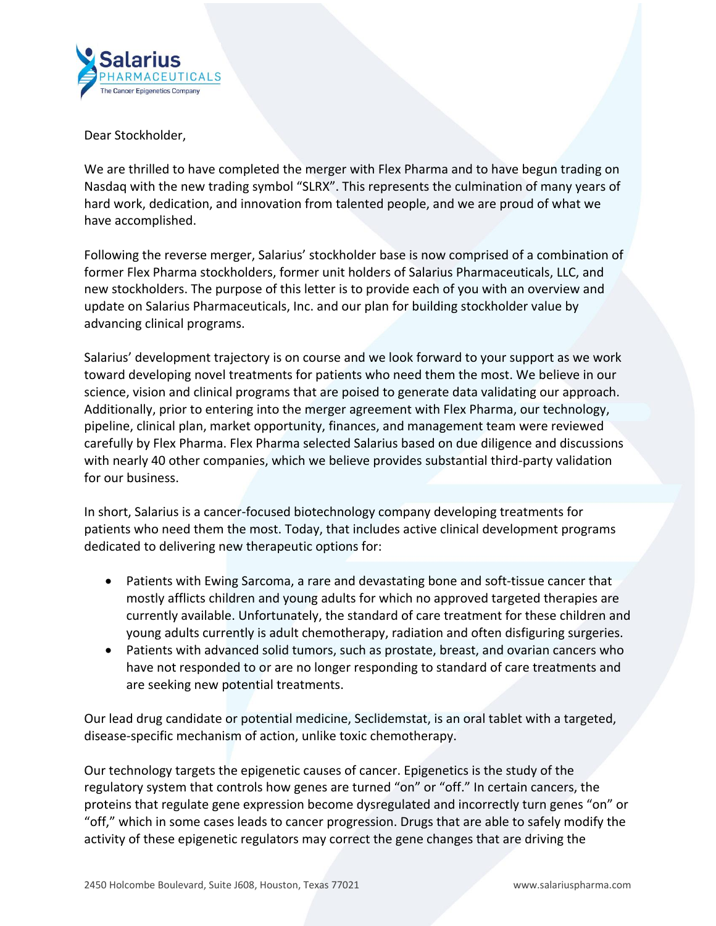

Dear Stockholder,

We are thrilled to have completed the merger with Flex Pharma and to have begun trading on Nasdaq with the new trading symbol "SLRX". This represents the culmination of many years of hard work, dedication, and innovation from talented people, and we are proud of what we have accomplished.

Following the reverse merger, Salarius' stockholder base is now comprised of a combination of former Flex Pharma stockholders, former unit holders of Salarius Pharmaceuticals, LLC, and new stockholders. The purpose of this letter is to provide each of you with an overview and update on Salarius Pharmaceuticals, Inc. and our plan for building stockholder value by advancing clinical programs.

Salarius' development trajectory is on course and we look forward to your support as we work toward developing novel treatments for patients who need them the most. We believe in our science, vision and clinical programs that are poised to generate data validating our approach. Additionally, prior to entering into the merger agreement with Flex Pharma, our technology, pipeline, clinical plan, market opportunity, finances, and management team were reviewed carefully by Flex Pharma. Flex Pharma selected Salarius based on due diligence and discussions with nearly 40 other companies, which we believe provides substantial third-party validation for our business.

In short, Salarius is a cancer-focused biotechnology company developing treatments for patients who need them the most. Today, that includes active clinical development programs dedicated to delivering new therapeutic options for:

- Patients with Ewing Sarcoma, a rare and devastating bone and soft-tissue cancer that mostly afflicts children and young adults for which no approved targeted therapies are currently available. Unfortunately, the standard of care treatment for these children and young adults currently is adult chemotherapy, radiation and often disfiguring surgeries.
- Patients with advanced solid tumors, such as prostate, breast, and ovarian cancers who have not responded to or are no longer responding to standard of care treatments and are seeking new potential treatments.

Our lead drug candidate or potential medicine, Seclidemstat, is an oral tablet with a targeted, disease-specific mechanism of action, unlike toxic chemotherapy.

Our technology targets the epigenetic causes of cancer. Epigenetics is the study of the regulatory system that controls how genes are turned "on" or "off." In certain cancers, the proteins that regulate gene expression become dysregulated and incorrectly turn genes "on" or "off," which in some cases leads to cancer progression. Drugs that are able to safely modify the activity of these epigenetic regulators may correct the gene changes that are driving the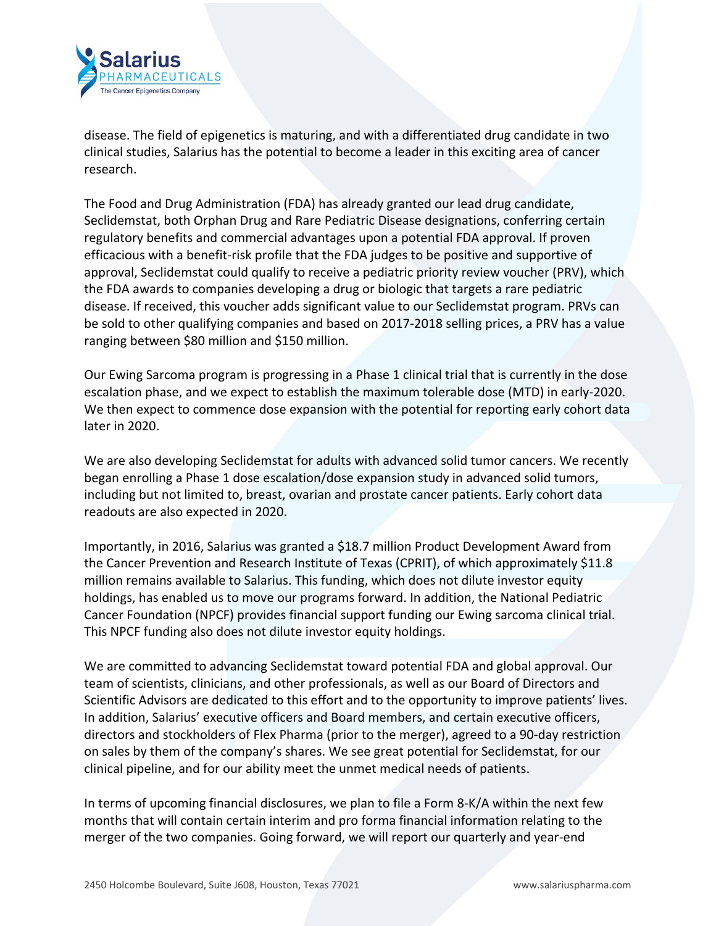

disease. The field of epigenetics is maturing, and with a differentiated drug candidate in two clinical studies, Salarius has the potential to become a leader in this exciting area of cancer research.

The Food and Drug Administration (FDA) has already granted our lead drug candidate, Seclidemstat, both Orphan Drug and Rare Pediatric Disease designations, conferring certain regulatory benefits and commercial advantages upon a potential FDA approval. If proven efficacious with a benefit-risk profile that the FDA judges to be positive and supportive of approval, Seclidemstat could qualify to receive a pediatric priority review voucher (PRV), which the FDA awards to companies developing a drug or biologic that targets a rare pediatric disease. If received, this voucher adds significant value to our Seclidemstat program. PRVs can be sold to other qualifying companies and based on 2017-2018 selling prices, a PRV has a value ranging between \$80 million and \$150 million.

Our Ewing Sarcoma program is progressing in a Phase 1 clinical trial that is currently in the dose escalation phase, and we expect to establish the maximum tolerable dose (MTD) in early-2020. We then expect to commence dose expansion with the potential for reporting early cohort data later in 2020.

We are also developing Seclidemstat for adults with advanced solid tumor cancers. We recently began enrolling a Phase 1 dose escalation/dose expansion study in advanced solid tumors, including but not limited to, breast, ovarian and prostate cancer patients. Early cohort data readouts are also expected in 2020.

Importantly, in 2016, Salarius was granted a \$18.7 million Product Development Award from the Cancer Prevention and Research Institute of Texas (CPRIT), of which approximately \$11.8 million remains available to Salarius. This funding, which does not dilute investor equity holdings, has enabled us to move our programs forward. In addition, the National Pediatric Cancer Foundation (NPCF) provides financial support funding our Ewing sarcoma clinical trial. This NPCF funding also does not dilute investor equity holdings.

We are committed to advancing Seclidemstat toward potential FDA and global approval. Our team of scientists, clinicians, and other professionals, as well as our Board of Directors and Scientific Advisors are dedicated to this effort and to the opportunity to improve patients' lives. In addition, Salarius' executive officers and Board members, and certain executive officers, directors and stockholders of Flex Pharma (prior to the merger), agreed to a 90-day restriction on sales by them of the company's shares. We see great potential for Seclidemstat, for our clinical pipeline, and for our ability meet the unmet medical needs of patients.

In terms of upcoming financial disclosures, we plan to file a Form 8-K/A within the next few months that will contain certain interim and pro forma financial information relating to the merger of the two companies. Going forward, we will report our quarterly and year-end